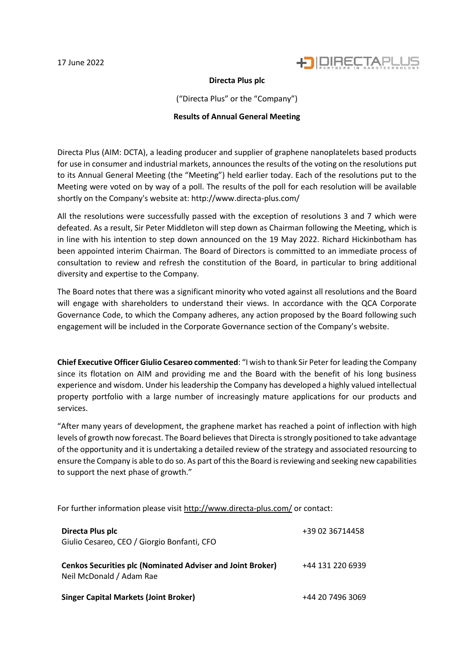

## **Directa Plus plc**

("Directa Plus" or the "Company")

## **Results of Annual General Meeting**

Directa Plus (AIM: DCTA), a leading producer and supplier of graphene nanoplatelets based products for use in consumer and industrial markets, announces the results of the voting on the resolutions put to its Annual General Meeting (the "Meeting") held earlier today. Each of the resolutions put to the Meeting were voted on by way of a poll. The results of the poll for each resolution will be available shortly on the Company's website at: http://www.directa-plus.com/

All the resolutions were successfully passed with the exception of resolutions 3 and 7 which were defeated. As a result, Sir Peter Middleton will step down as Chairman following the Meeting, which is in line with his intention to step down announced on the 19 May 2022. Richard Hickinbotham has been appointed interim Chairman. The Board of Directors is committed to an immediate process of consultation to review and refresh the constitution of the Board, in particular to bring additional diversity and expertise to the Company.

The Board notes that there was a significant minority who voted against all resolutions and the Board will engage with shareholders to understand their views. In accordance with the QCA Corporate Governance Code, to which the Company adheres, any action proposed by the Board following such engagement will be included in the Corporate Governance section of the Company's website.

**Chief Executive Officer Giulio Cesareo commented**: "I wish to thank Sir Peter for leading the Company since its flotation on AIM and providing me and the Board with the benefit of his long business experience and wisdom. Under his leadership the Company has developed a highly valued intellectual property portfolio with a large number of increasingly mature applications for our products and services.

"After many years of development, the graphene market has reached a point of inflection with high levels of growth now forecast. The Board believes that Directa is strongly positioned to take advantage of the opportunity and it is undertaking a detailed review of the strategy and associated resourcing to ensure the Company is able to do so. As part of this the Board is reviewing and seeking new capabilities to support the next phase of growth."

For further information please visit <http://www.directa-plus.com/> or contact:

| Directa Plus plc<br>Giulio Cesareo, CEO / Giorgio Bonfanti, CFO                               | +39 02 36714458  |
|-----------------------------------------------------------------------------------------------|------------------|
| <b>Cenkos Securities plc (Nominated Adviser and Joint Broker)</b><br>Neil McDonald / Adam Rae | +44 131 220 6939 |
| <b>Singer Capital Markets (Joint Broker)</b>                                                  | +44 20 7496 3069 |